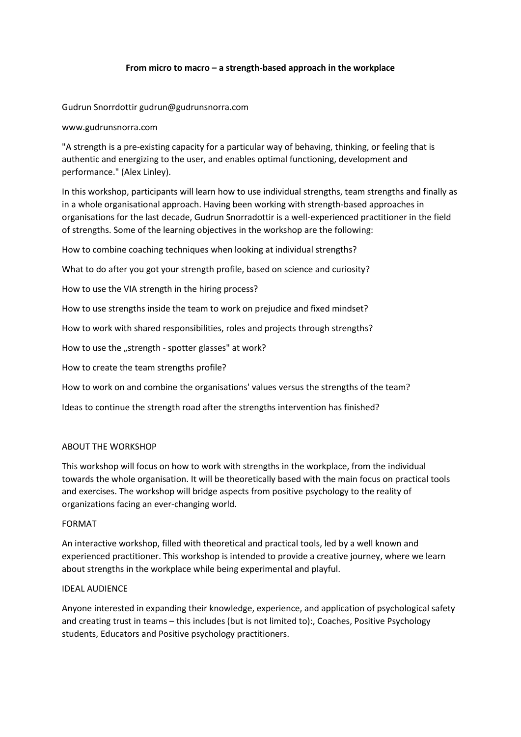# **From micro to macro – a strength-based approach in the workplace**

Gudrun Snorrdottir gudrun@gudrunsnorra.com

www.gudrunsnorra.com

"A strength is a pre-existing capacity for a particular way of behaving, thinking, or feeling that is authentic and energizing to the user, and enables optimal functioning, development and performance." (Alex Linley).

In this workshop, participants will learn how to use individual strengths, team strengths and finally as in a whole organisational approach. Having been working with strength-based approaches in organisations for the last decade, Gudrun Snorradottir is a well-experienced practitioner in the field of strengths. Some of the learning objectives in the workshop are the following:

How to combine coaching techniques when looking at individual strengths?

What to do after you got your strength profile, based on science and curiosity?

How to use the VIA strength in the hiring process?

How to use strengths inside the team to work on prejudice and fixed mindset?

How to work with shared responsibilities, roles and projects through strengths?

How to use the "strength - spotter glasses" at work?

How to create the team strengths profile?

How to work on and combine the organisations' values versus the strengths of the team?

Ideas to continue the strength road after the strengths intervention has finished?

## ABOUT THE WORKSHOP

This workshop will focus on how to work with strengths in the workplace, from the individual towards the whole organisation. It will be theoretically based with the main focus on practical tools and exercises. The workshop will bridge aspects from positive psychology to the reality of organizations facing an ever-changing world.

## FORMAT

An interactive workshop, filled with theoretical and practical tools, led by a well known and experienced practitioner. This workshop is intended to provide a creative journey, where we learn about strengths in the workplace while being experimental and playful.

## IDEAL AUDIENCE

Anyone interested in expanding their knowledge, experience, and application of psychological safety and creating trust in teams – this includes (but is not limited to):, Coaches, Positive Psychology students, Educators and Positive psychology practitioners.